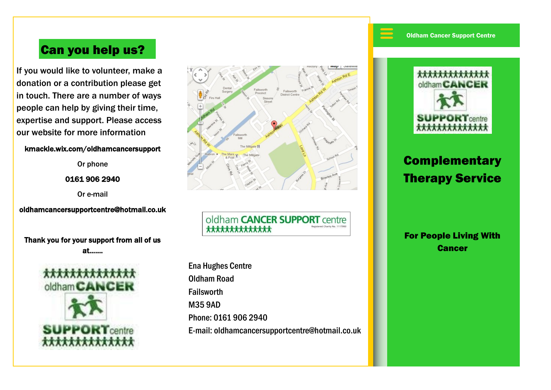$\equiv$ 

## Can you help us?

If you would like to volunteer, make a donation or a contribution please get in touch. There are a number of ways people can help by giving their time, expertise and support. Please access our website for more information

#### kmackle.wix.com/oldhamcancersupport

Or phone

0161 906 2940

Or e-mail

oldhamcancersupportcentre@hotmail.co.uk

Thank you for your support from all of us at…….





oldham **CANCER SUPPORT** centre \*\*\*\*\*\*\*\*\*\*\*\*\*\*

Ena Hughes Centre Oldham Road Failsworth M35 9AD Phone: 0161 906 2940 E-mail: oldhamcancersupportcentre@hotmail.co.uk



# **Complementary** Therapy Service

For People Living With **Cancer**